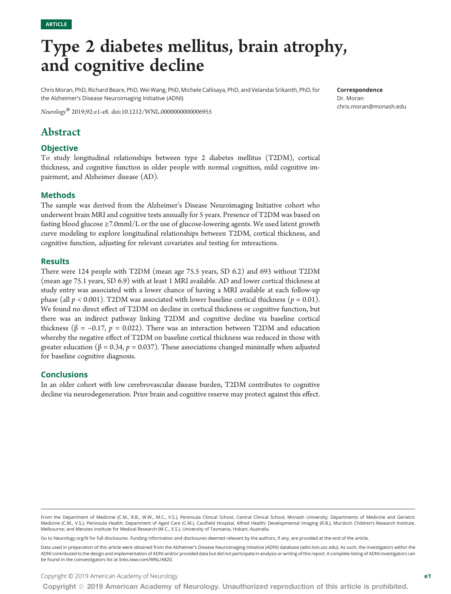# Type 2 diabetes mellitus, brain atrophy, and cognitive decline

Chris Moran, PhD, Richard Beare, PhD, Wei Wang, PhD, Michele Callisaya, PhD, and Velandai Srikanth, PhD, for the Alzheimer's Disease Neuroimaging Initiative (ADNI)

Neurology® 2019;92:e1-e8. doi:[10.1212/WNL.0000000000006955](http://dx.doi.org/10.1212/WNL.0000000000006955)

# Abstract

#### **Objective**

To study longitudinal relationships between type 2 diabetes mellitus (T2DM), cortical thickness, and cognitive function in older people with normal cognition, mild cognitive impairment, and Alzheimer disease (AD).

#### Methods

The sample was derived from the Alzheimer's Disease Neuroimaging Initiative cohort who underwent brain MRI and cognitive tests annually for 5 years. Presence of T2DM was based on fasting blood glucose ≥7.0mml/L or the use of glucose-lowering agents. We used latent growth curve modeling to explore longitudinal relationships between T2DM, cortical thickness, and cognitive function, adjusting for relevant covariates and testing for interactions.

#### **Results**

There were 124 people with T2DM (mean age 75.5 years, SD 6.2) and 693 without T2DM (mean age 75.1 years, SD 6.9) with at least 1 MRI available. AD and lower cortical thickness at study entry was associated with a lower chance of having a MRI available at each follow-up phase (all  $p < 0.001$ ). T2DM was associated with lower baseline cortical thickness ( $p = 0.01$ ). We found no direct effect of T2DM on decline in cortical thickness or cognitive function, but there was an indirect pathway linking T2DM and cognitive decline via baseline cortical thickness (β = -0.17, p = 0.022). There was an interaction between T2DM and education whereby the negative effect of T2DM on baseline cortical thickness was reduced in those with greater education ( $\beta = 0.34$ ,  $p = 0.037$ ). These associations changed minimally when adjusted for baseline cognitive diagnosis.

#### **Conclusions**

In an older cohort with low cerebrovascular disease burden, T2DM contributes to cognitive decline via neurodegeneration. Prior brain and cognitive reserve may protect against this effect.

#### From the Department of Medicine (C.M., R.B., W.W., M.C., V.S.), Peninsula Clinical School, Central Clinical School, Monash University; Departments of Medicine and Geriatric Medicine (C.M., V.S.), Peninsula Health; Department of Aged Care (C.M.), Caulfield Hospital, Alfred Health; Developmental Imaging (R.B.), Murdoch Children's Research Institute, Melbourne; and Menzies Institute for Medical Research (M.C., V.S.), University of Tasmania, Hobart, Australia.

Go to [Neurology.org/N](http://n.neurology.org/lookup/doi/10.1212/WNL.0000000000006955) for full disclosures. Funding information and disclosures deemed relevant by the authors, if any, are provided at the end of the article.

Data used in preparation of this article were obtained from the Alzheimer's Disease Neuroimaging Initiative (ADNI) database [\(adni.loni.usc.edu\)](http://adni.loni.usc.edu). As such, the investigators within the ADNI contributed to the design and implementation of ADNI and/or provided data but did not participate in analysis or writing of this report. A complete listing of ADNI investigators can be found in the coinvestigators list at [links.lww.com/WNL/A820](http://links.lww.com/WNL/A820).

Copyright © 2019 American Academy of Neurology entries and the state of the state of the state of the state of the state of the state of the state of the state of the state of the state of the state of the state of the sta

Dr. Moran [chris.moran@monash.edu](mailto:chris.moran@monash.edu)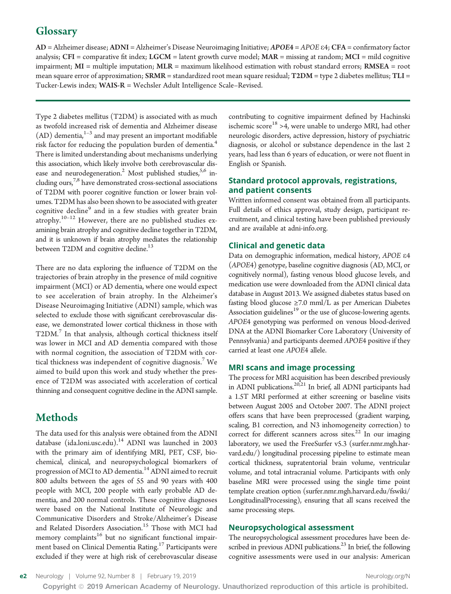# **Glossary**

AD = Alzheimer disease; ADNI = Alzheimer's Disease Neuroimaging Initiative; APOE<sup>4</sup> <sup>=</sup> APOE <sup>e</sup>4; CFA = confirmatory factor analysis; CFI = comparative fit index; LGCM = latent growth curve model; MAR = missing at random; MCI = mild cognitive impairment;  $MI =$  multiple imputation;  $MLR =$  maximum likelihood estimation with robust standard errors;  $RMSEA =$  root mean square error of approximation; SRMR = standardized root mean square residual; T2DM = type 2 diabetes mellitus; TLI = Tucker-Lewis index; WAIS-R = Wechsler Adult Intelligence Scale–Revised.

Type 2 diabetes mellitus (T2DM) is associated with as much as twofold increased risk of dementia and Alzheimer disease  $(AD)$  dementia, $1-3$  and may present an important modifiable risk factor for reducing the population burden of dementia.<sup>4</sup> There is limited understanding about mechanisms underlying this association, which likely involve both cerebrovascular disease and neurodegeneration.<sup>2</sup> Most published studies,<sup>5,6</sup> including ours,<sup>7,8</sup> have demonstrated cross-sectional associations of T2DM with poorer cognitive function or lower brain volumes. T2DM has also been shown to be associated with greater cognitive decline<sup>9</sup> and in a few studies with greater brain atrophy.<sup>10-12</sup> However, there are no published studies examining brain atrophy and cognitive decline together in T2DM, and it is unknown if brain atrophy mediates the relationship between T2DM and cognitive decline.<sup>13</sup>

There are no data exploring the influence of T2DM on the trajectories of brain atrophy in the presence of mild cognitive impairment (MCI) or AD dementia, where one would expect to see acceleration of brain atrophy. In the Alzheimer's Disease Neuroimaging Initiative (ADNI) sample, which was selected to exclude those with significant cerebrovascular disease, we demonstrated lower cortical thickness in those with  $T2DM$ .<sup>7</sup> In that analysis, although cortical thickness itself was lower in MCI and AD dementia compared with those with normal cognition, the association of T2DM with cortical thickness was independent of cognitive diagnosis.<sup>7</sup> We aimed to build upon this work and study whether the presence of T2DM was associated with acceleration of cortical thinning and consequent cognitive decline in the ADNI sample.

# Methods

The data used for this analysis were obtained from the ADNI database [\(ida.loni.usc.edu](https://ida.loni.usc.edu)).<sup>14</sup> ADNI was launched in 2003 with the primary aim of identifying MRI, PET, CSF, biochemical, clinical, and neuropsychological biomarkers of progression of MCI to AD dementia.<sup>14</sup> ADNI aimed to recruit 800 adults between the ages of 55 and 90 years with 400 people with MCI, 200 people with early probable AD dementia, and 200 normal controls. These cognitive diagnoses were based on the National Institute of Neurologic and Communicative Disorders and Stroke/Alzheimer's Disease and Related Disorders Association.<sup>15</sup> Those with MCI had memory complaints<sup>16</sup> but no significant functional impairment based on Clinical Dementia Rating.<sup>17</sup> Participants were excluded if they were at high risk of cerebrovascular disease

contributing to cognitive impairment defined by Hachinski ischemic score<sup>18</sup> >4, were unable to undergo MRI, had other neurologic disorders, active depression, history of psychiatric diagnosis, or alcohol or substance dependence in the last 2 years, had less than 6 years of education, or were not fluent in English or Spanish.

## Standard protocol approvals, registrations, and patient consents

Written informed consent was obtained from all participants. Full details of ethics approval, study design, participant recruitment, and clinical testing have been published previously and are available at [adni-info.org.](http://www.adni-info.org/)

## Clinical and genetic data

Data on demographic information, medical history, APOE <sup>e</sup><sup>4</sup> (APOE4) genotype, baseline cognitive diagnosis (AD, MCI, or cognitively normal), fasting venous blood glucose levels, and medication use were downloaded from the ADNI clinical data database in August 2013. We assigned diabetes status based on fasting blood glucose ≥7.0 mml/L as per American Diabetes Association guidelines<sup>19</sup> or the use of glucose-lowering agents. APOE4 genotyping was performed on venous blood-derived DNA at the ADNI Biomarker Core Laboratory (University of Pennsylvania) and participants deemed APOE4 positive if they carried at least one APOE4 allele.

#### MRI scans and image processing

The process for MRI acquisition has been described previously in ADNI publications.<sup>20,21</sup> In brief, all ADNI participants had a 1.5T MRI performed at either screening or baseline visits between August 2005 and October 2007. The ADNI project offers scans that have been preprocessed (gradient warping, scaling, B1 correction, and N3 inhomogeneity correction) to correct for different scanners across sites. $22$  In our imaging laboratory, we used the FreeSurfer v5.3 ([surfer.nmr.mgh.har](http://surfer.nmr.mgh.harvard.edu/)[vard.edu/](http://surfer.nmr.mgh.harvard.edu/)) longitudinal processing pipeline to estimate mean cortical thickness, supratentorial brain volume, ventricular volume, and total intracranial volume. Participants with only baseline MRI were processed using the single time point template creation option [\(surfer.nmr.mgh.harvard.edu/fswiki/](https://surfer.nmr.mgh.harvard.edu/fswiki/LongitudinalProcessing) [LongitudinalProcessing](https://surfer.nmr.mgh.harvard.edu/fswiki/LongitudinalProcessing)), ensuring that all scans received the same processing steps.

## Neuropsychological assessment

The neuropsychological assessment procedures have been described in previous ADNI publications.<sup>23</sup> In brief, the following cognitive assessments were used in our analysis: American

Copyright © 2019 American Academy of Neurology. Unauthorized reproduction of this article is prohibited.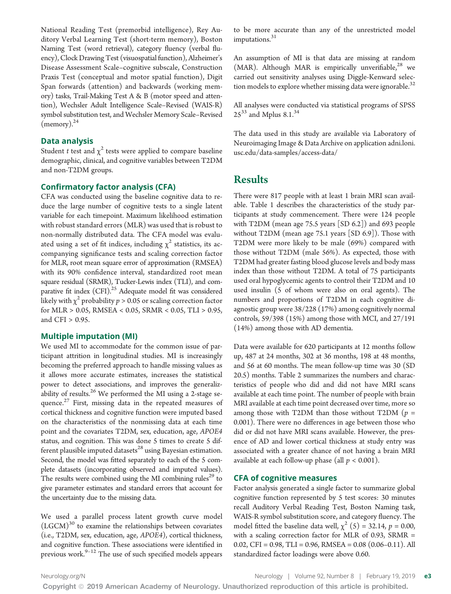National Reading Test (premorbid intelligence), Rey Auditory Verbal Learning Test (short-term memory), Boston Naming Test (word retrieval), category fluency (verbal fluency), Clock Drawing Test (visuospatial function), Alzheimer's Disease Assessment Scale–cognitive subscale, Construction Praxis Test (conceptual and motor spatial function), Digit Span forwards (attention) and backwards (working memory) tasks, Trail-Making Test A & B (motor speed and attention), Wechsler Adult Intelligence Scale–Revised (WAIS-R) symbol substitution test, and Wechsler Memory Scale–Revised  $(memory)<sup>24</sup>$ 

#### Data analysis

Student t test and  $\chi^2$  tests were applied to compare baseline demographic, clinical, and cognitive variables between T2DM and non-T2DM groups.

#### Confirmatory factor analysis (CFA)

CFA was conducted using the baseline cognitive data to reduce the large number of cognitive tests to a single latent variable for each timepoint. Maximum likelihood estimation with robust standard errors (MLR) was used that is robust to non-normally distributed data. The CFA model was evaluated using a set of fit indices, including  $\chi^2$  statistics, its accompanying significance tests and scaling correction factor for MLR, root mean square error of approximation (RMSEA) with its 90% confidence interval, standardized root mean square residual (SRMR), Tucker-Lewis index (TLI), and comparative fit index (CFI).<sup>25</sup> Adequate model fit was considered likely with  $\chi^2$  probability  $p > 0.05$  or scaling correction factor for MLR > 0.05, RMSEA < 0.05, SRMR < 0.05, TLI > 0.95, and CFI > 0.95.

#### Multiple imputation (MI)

We used MI to accommodate for the common issue of participant attrition in longitudinal studies. MI is increasingly becoming the preferred approach to handle missing values as it allows more accurate estimates, increases the statistical power to detect associations, and improves the generalizability of results. $26$  We performed the MI using a 2-stage sequence.<sup>27</sup> First, missing data in the repeated measures of cortical thickness and cognitive function were imputed based on the characteristics of the nonmissing data at each time point and the covariates T2DM, sex, education, age, APOE4 status, and cognition. This was done 5 times to create 5 different plausible imputed datasets<sup>28</sup> using Bayesian estimation. Second, the model was fitted separately to each of the 5 complete datasets (incorporating observed and imputed values). The results were combined using the MI combining rules<sup>29</sup> to give parameter estimates and standard errors that account for the uncertainty due to the missing data.

We used a parallel process latent growth curve model  $(LGCM)^{30}$  to examine the relationships between covariates (i.e., T2DM, sex, education, age, APOE4), cortical thickness, and cognitive function. These associations were identified in previous work. $9-12$  The use of such specified models appears

to be more accurate than any of the unrestricted model imputations.<sup>31</sup>

An assumption of MI is that data are missing at random (MAR). Although MAR is empirically unverifiable,<sup>28</sup> we carried out sensitivity analyses using Diggle-Kenward selection models to explore whether missing data were ignorable. $32$ 

All analyses were conducted via statistical programs of SPSS  $25^{33}$  and Mplus 8.1.<sup>34</sup>

The data used in this study are available via Laboratory of Neuroimaging Image & Data Archive on application [adni.loni.](http://adni.loni.usc.edu/data-samples/access-data/) [usc.edu/data-samples/access-data/](http://adni.loni.usc.edu/data-samples/access-data/)

## Results

There were 817 people with at least 1 brain MRI scan available. Table 1 describes the characteristics of the study participants at study commencement. There were 124 people with T2DM (mean age 75.5 years [SD 6.2]) and 693 people without T2DM (mean age 75.1 years [SD 6.9]). Those with T2DM were more likely to be male (69%) compared with those without T2DM (male 56%). As expected, those with T2DM had greater fasting blood glucose levels and body mass index than those without T2DM. A total of 75 participants used oral hypoglycemic agents to control their T2DM and 10 used insulin (5 of whom were also on oral agents). The numbers and proportions of T2DM in each cognitive diagnostic group were 38/228 (17%) among cognitively normal controls, 59/398 (15%) among those with MCI, and 27/191 (14%) among those with AD dementia.

Data were available for 620 participants at 12 months follow up, 487 at 24 months, 302 at 36 months, 198 at 48 months, and 56 at 60 months. The mean follow-up time was 30 (SD 20.5) months. Table 2 summarizes the numbers and characteristics of people who did and did not have MRI scans available at each time point. The number of people with brain MRI available at each time point decreased over time, more so among those with T2DM than those without T2DM ( $p =$ 0.001). There were no differences in age between those who did or did not have MRI scans available. However, the presence of AD and lower cortical thickness at study entry was associated with a greater chance of not having a brain MRI available at each follow-up phase (all  $p < 0.001$ ).

#### CFA of cognitive measures

Factor analysis generated a single factor to summarize global cognitive function represented by 5 test scores: 30 minutes recall Auditory Verbal Reading Test, Boston Naming task, WAIS-R symbol substitution score, and category fluency. The model fitted the baseline data well,  $\chi^2$  (5) = 32.14, p = 0.00, with a scaling correction factor for MLR of 0.93, SRMR = 0.02, CFI = 0.98, TLI = 0.96, RMSEA = 0.08 (0.06–0.11). All standardized factor loadings were above 0.60.

[Neurology.org/N](http://neurology.org/n) Neurology | Volume 92, Number 8 | February 19, 2019 **e3**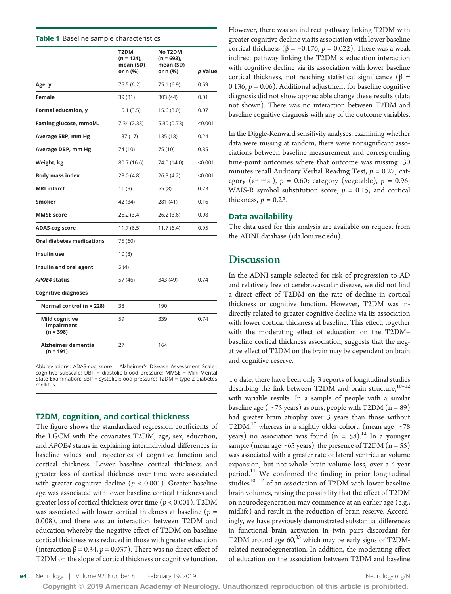#### Table 1 Baseline sample characteristics

|                                                    | T2DM<br>$(n = 124)$ .<br>mean (SD)<br>or n (%) | <b>No T2DM</b><br>$(n = 693)$ .<br>mean (SD)<br>or n (%) | p Value |
|----------------------------------------------------|------------------------------------------------|----------------------------------------------------------|---------|
| Age, y                                             | 75.5 (6.2)                                     | 75.1 (6.9)                                               | 0.59    |
| Female                                             | 39 (31)                                        | 303 (44)                                                 | 0.01    |
| Formal education, y                                | 15.1(3.5)                                      | 15.6 (3.0)                                               | 0.07    |
| Fasting glucose, mmol/L                            | 7.34 (2.33)                                    | 5.30(0.73)                                               | < 0.001 |
| Average SBP, mm Hg                                 | 137 (17)                                       | 135 (18)                                                 | 0.24    |
| Average DBP, mm Hg                                 | 74 (10)                                        | 75 (10)                                                  | 0.85    |
| Weight, kg                                         | 80.7 (16.6)                                    | 74.0 (14.0)                                              | < 0.001 |
| <b>Body mass index</b>                             | 28.0 (4.8)                                     | 26.3(4.2)                                                | < 0.001 |
| <b>MRI</b> infarct                                 | 11(9)                                          | 55(8)                                                    | 0.73    |
| <b>Smoker</b>                                      | 42 (34)                                        | 281 (41)                                                 | 0.16    |
| <b>MMSE</b> score                                  | 26.2(3.4)                                      | 26.2(3.6)                                                | 0.98    |
| <b>ADAS-cog score</b>                              | 11.7(6.5)                                      | 11.7(6.4)                                                | 0.95    |
| <b>Oral diabetes medications</b>                   | 75 (60)                                        |                                                          |         |
| Insulin use                                        | 10(8)                                          |                                                          |         |
| Insulin and oral agent                             | 5(4)                                           |                                                          |         |
| <b>APOE4 status</b>                                | 57 (46)                                        | 343 (49)                                                 | 0.74    |
| <b>Cognitive diagnoses</b>                         |                                                |                                                          |         |
| Normal control ( $n = 228$ )                       | 38                                             | 190                                                      |         |
| <b>Mild cognitive</b><br>impairment<br>$(n = 398)$ | 59                                             | 339                                                      | 0.74    |
| Alzheimer dementia<br>$(n = 191)$                  | 27                                             | 164                                                      |         |

Abbreviations: ADAS-cog score = Alzheimer's Disease Assessment Scale– cognitive subscale; DBP = diastolic blood pressure; MMSE = Mini-Mental State Examination; SBP = systolic blood pressure; T2DM = type 2 diabetes mellitus.

#### T2DM, cognition, and cortical thickness

The figure shows the standardized regression coefficients of the LGCM with the covariates T2DM, age, sex, education, and APOE4 status in explaining interindividual differences in baseline values and trajectories of cognitive function and cortical thickness. Lower baseline cortical thickness and greater loss of cortical thickness over time were associated with greater cognitive decline ( $p < 0.001$ ). Greater baseline age was associated with lower baseline cortical thickness and greater loss of cortical thickness over time  $(p < 0.001)$ . T2DM was associated with lower cortical thickness at baseline ( $p =$ 0.008), and there was an interaction between T2DM and education whereby the negative effect of T2DM on baseline cortical thickness was reduced in those with greater education (interaction  $\beta = 0.34$ ,  $p = 0.037$ ). There was no direct effect of T2DM on the slope of cortical thickness or cognitive function.

However, there was an indirect pathway linking T2DM with greater cognitive decline via its association with lower baseline cortical thickness ( $β = -0.176$ ,  $p = 0.022$ ). There was a weak indirect pathway linking the  $T2DM \times$  education interaction with cognitive decline via its association with lower baseline cortical thickness, not reaching statistical significance ( $\beta$  = 0.136,  $p = 0.06$ ). Additional adjustment for baseline cognitive diagnosis did not show appreciable change these results (data not shown). There was no interaction between T2DM and baseline cognitive diagnosis with any of the outcome variables.

In the Diggle-Kenward sensitivity analyses, examining whether data were missing at random, there were nonsignificant associations between baseline measurement and corresponding time-point outcomes where that outcome was missing: 30 minutes recall Auditory Verbal Reading Test,  $p = 0.27$ ; category (animal),  $p = 0.60$ ; category (vegetable),  $p = 0.96$ ; WAIS-R symbol substitution score,  $p = 0.15$ ; and cortical thickness,  $p = 0.23$ .

#### Data availability

The data used for this analysis are available on request from the ADNI database [\(ida.loni.usc.edu\)](https://ida.loni.usc.edu).

## **Discussion**

In the ADNI sample selected for risk of progression to AD and relatively free of cerebrovascular disease, we did not find a direct effect of T2DM on the rate of decline in cortical thickness or cognitive function. However, T2DM was indirectly related to greater cognitive decline via its association with lower cortical thickness at baseline. This effect, together with the moderating effect of education on the T2DM– baseline cortical thickness association, suggests that the negative effect of T2DM on the brain may be dependent on brain and cognitive reserve.

To date, there have been only 3 reports of longitudinal studies describing the link between T2DM and brain structure,<sup>10-12</sup> with variable results. In a sample of people with a similar baseline age ( $\sim$ 75 years) as ours, people with T2DM (n = 89) had greater brain atrophy over 3 years than those without T2DM,<sup>10</sup> whereas in a slightly older cohort, (mean age  $\sim$ 78 years) no association was found  $(n = 58).^{12}$  In a younger sample (mean age $\sim$ 65 years), the presence of T2DM (n = 55) was associated with a greater rate of lateral ventricular volume expansion, but not whole brain volume loss, over a 4-year period. $11$  We confirmed the finding in prior longitudinal studies $10-12$  of an association of T2DM with lower baseline brain volumes, raising the possibility that the effect of T2DM on neurodegeneration may commence at an earlier age (e.g., midlife) and result in the reduction of brain reserve. Accordingly, we have previously demonstrated substantial differences in functional brain activation in twin pairs discordant for T2DM around age 60,<sup>35</sup> which may be early signs of T2DMrelated neurodegeneration. In addition, the moderating effect of education on the association between T2DM and baseline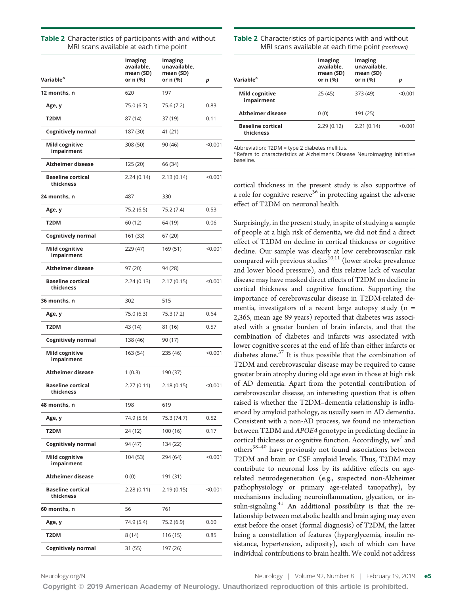| Variable <sup>a</sup>                 | <b>Imaging</b><br>available,<br>mean (SD)<br>or n (%) | Imaging<br>unavailable,<br>mean (SD)<br>or n (%) | р         |
|---------------------------------------|-------------------------------------------------------|--------------------------------------------------|-----------|
| 12 months, n                          | 620                                                   | 197                                              |           |
| Age, y                                | 75.0 (6.7)                                            | 75.6 (7.2)                                       | 0.83      |
| T2DM                                  | 87 (14)                                               | 37 (19)                                          | 0.11      |
| <b>Cognitively normal</b>             | 187 (30)                                              | 41 (21)                                          |           |
| Mild cognitive<br>impairment          | 308 (50)                                              | 90 (46)                                          | < 0.001   |
| Alzheimer disease                     | 125 (20)                                              | 66 (34)                                          |           |
| <b>Baseline cortical</b><br>thickness | 2.24 (0.14)                                           | 2.13(0.14)                                       | < 0.001   |
| 24 months, n                          | 487                                                   | 330                                              |           |
| Age, y                                | 75.2 (6.5)                                            | 75.2 (7.4)                                       | 0.53      |
| T2DM                                  | 60 (12)                                               | 64 (19)                                          | 0.06      |
| <b>Cognitively normal</b>             | 161 (33)                                              | 67 (20)                                          |           |
| Mild cognitive<br>impairment          | 229 (47)                                              | 169 (51)                                         | < 0.001   |
| Alzheimer disease                     | 97 (20)                                               | 94 (28)                                          |           |
| <b>Baseline cortical</b><br>thickness | 2.24 (0.13)                                           | 2.17(0.15)                                       | < 0.001   |
| 36 months, n                          | 302                                                   | 515                                              |           |
| Age, y                                | 75.0 (6.3)                                            | 75.3 (7.2)                                       | 0.64      |
| T2DM                                  | 43 (14)                                               | 81 (16)                                          | 0.57      |
| <b>Cognitively normal</b>             | 138 (46)                                              | 90 (17)                                          |           |
| Mild cognitive<br>impairment          | 163 (54)                                              | 235 (46)                                         | $<$ 0.001 |
| Alzheimer disease                     | 1 (0.3)                                               | 190 (37)                                         |           |
| <b>Baseline cortical</b><br>thickness | 2.27 (0.11)                                           | 2.18 (0.15)                                      | < 0.001   |
| 48 months, n                          | 198                                                   | 619                                              |           |
| Age, y                                | 74.9 (5.9)                                            | 75.3 (74.7)                                      | 0.52      |
| T2DM                                  | 24 (12)                                               | 100 (16)                                         | 0.17      |
| <b>Cognitively normal</b>             | 94 (47)                                               | 134 (22)                                         |           |
| <b>Mild cognitive</b><br>impairment   | 104 (53)                                              | 294 (64)                                         | < 0.001   |
| Alzheimer disease                     | 0(0)                                                  | 191 (31)                                         |           |
| <b>Baseline cortical</b><br>thickness | 2.28(0.11)                                            | 2.19(0.15)                                       | < 0.001   |
| 60 months, n                          | 56                                                    | 761                                              |           |
| Age, y                                | 74.9 (5.4)                                            | 75.2 (6.9)                                       | 0.60      |
| T2DM                                  | 8 (14)                                                | 116 (15)                                         | 0.85      |
| <b>Cognitively normal</b>             | 31 (55)                                               | 197 (26)                                         |           |

| Table 2 Characteristics of participants with and without |
|----------------------------------------------------------|
| MRI scans available at each time point                   |

| Table 2 Characteristics of participants with and without |
|----------------------------------------------------------|
| MRI scans available at each time point (continued)       |

| Variable <sup>a</sup>                 | <b>Imaging</b><br>available.<br>mean (SD)<br>or n (%) | Imaging<br>unavailable,<br>mean (SD)<br>or n (%) | р         |
|---------------------------------------|-------------------------------------------------------|--------------------------------------------------|-----------|
| Mild cognitive<br>impairment          | 25 (45)                                               | 373 (49)                                         | $<$ 0.001 |
| Alzheimer disease                     | 0(0)                                                  | 191 (25)                                         |           |
| <b>Baseline cortical</b><br>thickness | 2.29(0.12)                                            | 2.21(0.14)                                       | < 0.001   |

Abbreviation: T2DM = type 2 diabetes mellitus.

<sup>a</sup> Refers to characteristics at Alzheimer's Disease Neuroimaging Initiative baseline.

cortical thickness in the present study is also supportive of a role for cognitive reserve<sup>36</sup> in protecting against the adverse effect of T2DM on neuronal health.

Surprisingly, in the present study, in spite of studying a sample of people at a high risk of dementia, we did not find a direct effect of T2DM on decline in cortical thickness or cognitive decline. Our sample was clearly at low cerebrovascular risk compared with previous studies<sup>10,11</sup> (lower stroke prevalence and lower blood pressure), and this relative lack of vascular disease may have masked direct effects of T2DM on decline in cortical thickness and cognitive function. Supporting the importance of cerebrovascular disease in T2DM-related dementia, investigators of a recent large autopsy study  $(n =$ 2,365, mean age 89 years) reported that diabetes was associated with a greater burden of brain infarcts, and that the combination of diabetes and infarcts was associated with lower cognitive scores at the end of life than either infarcts or diabetes alone. $37$  It is thus possible that the combination of T2DM and cerebrovascular disease may be required to cause greater brain atrophy during old age even in those at high risk of AD dementia. Apart from the potential contribution of cerebrovascular disease, an interesting question that is often raised is whether the T2DM–dementia relationship is influenced by amyloid pathology, as usually seen in AD dementia. Consistent with a non-AD process, we found no interaction between T2DM and APOE4 genotype in predicting decline in cortical thickness or cognitive function. Accordingly, we<sup> $\prime$ </sup> and others38–<sup>40</sup> have previously not found associations between T2DM and brain or CSF amyloid levels. Thus, T2DM may contribute to neuronal loss by its additive effects on agerelated neurodegeneration (e.g., suspected non-Alzheimer pathophysiology or primary age-related tauopathy), by mechanisms including neuroinflammation, glycation, or insulin-signaling.<sup>41</sup> An additional possibility is that the relationship between metabolic health and brain aging may even exist before the onset (formal diagnosis) of T2DM, the latter being a constellation of features (hyperglycemia, insulin resistance, hypertension, adiposity), each of which can have individual contributions to brain health. We could not address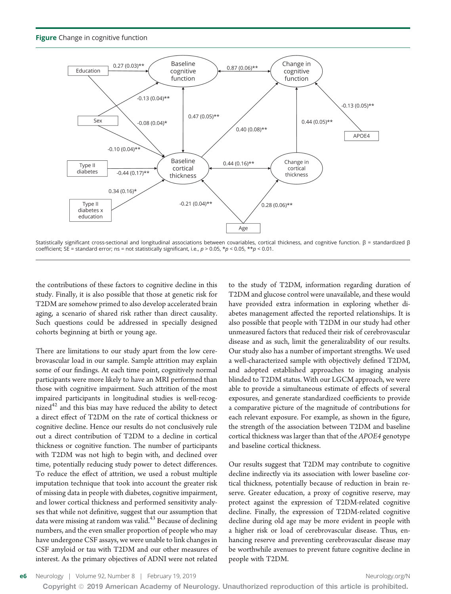**Figure** Change in cognitive function



Statistically significant cross-sectional and longitudinal associations between covariables, cortical thickness, and cognitive function. β = standardized β coefficient; SE = standard error; ns = not statistically significant, i.e.,  $p > 0.05$ ,  $\star p < 0.05$ ,  $\star \star p < 0.01$ .

the contributions of these factors to cognitive decline in this study. Finally, it is also possible that those at genetic risk for T2DM are somehow primed to also develop accelerated brain aging, a scenario of shared risk rather than direct causality. Such questions could be addressed in specially designed cohorts beginning at birth or young age.

There are limitations to our study apart from the low cerebrovascular load in our sample. Sample attrition may explain some of our findings. At each time point, cognitively normal participants were more likely to have an MRI performed than those with cognitive impairment. Such attrition of the most impaired participants in longitudinal studies is well-recognized $42$  and this bias may have reduced the ability to detect a direct effect of T2DM on the rate of cortical thickness or cognitive decline. Hence our results do not conclusively rule out a direct contribution of T2DM to a decline in cortical thickness or cognitive function. The number of participants with T2DM was not high to begin with, and declined over time, potentially reducing study power to detect differences. To reduce the effect of attrition, we used a robust multiple imputation technique that took into account the greater risk of missing data in people with diabetes, cognitive impairment, and lower cortical thickness and performed sensitivity analyses that while not definitive, suggest that our assumption that data were missing at random was valid.<sup>43</sup> Because of declining numbers, and the even smaller proportion of people who may have undergone CSF assays, we were unable to link changes in CSF amyloid or tau with T2DM and our other measures of interest. As the primary objectives of ADNI were not related

to the study of T2DM, information regarding duration of T2DM and glucose control were unavailable, and these would have provided extra information in exploring whether diabetes management affected the reported relationships. It is also possible that people with T2DM in our study had other unmeasured factors that reduced their risk of cerebrovascular disease and as such, limit the generalizability of our results. Our study also has a number of important strengths. We used a well-characterized sample with objectively defined T2DM, and adopted established approaches to imaging analysis blinded to T2DM status. With our LGCM approach, we were able to provide a simultaneous estimate of effects of several exposures, and generate standardized coefficients to provide a comparative picture of the magnitude of contributions for each relevant exposure. For example, as shown in the figure, the strength of the association between T2DM and baseline cortical thickness was larger than that of the APOE4 genotype and baseline cortical thickness.

Our results suggest that T2DM may contribute to cognitive decline indirectly via its association with lower baseline cortical thickness, potentially because of reduction in brain reserve. Greater education, a proxy of cognitive reserve, may protect against the expression of T2DM-related cognitive decline. Finally, the expression of T2DM-related cognitive decline during old age may be more evident in people with a higher risk or load of cerebrovascular disease. Thus, enhancing reserve and preventing cerebrovascular disease may be worthwhile avenues to prevent future cognitive decline in people with T2DM.

e6 Neurology | Volume 92, Number 8 | February 19, 2019 [Neurology.org/N](http://neurology.org/n)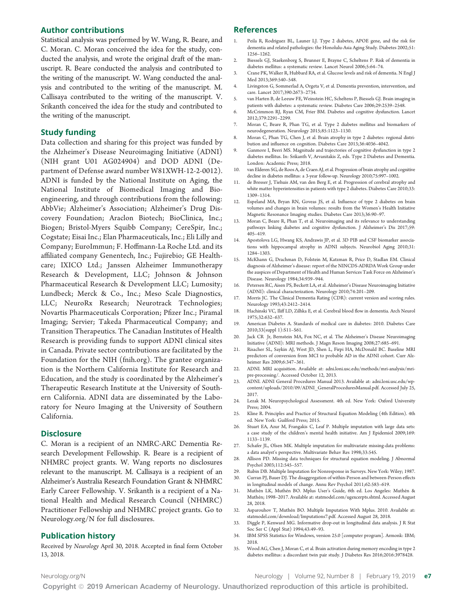## Author contributions

Statistical analysis was performed by W. Wang, R. Beare, and C. Moran. C. Moran conceived the idea for the study, conducted the analysis, and wrote the original draft of the manuscript. R. Beare conducted the analysis and contributed to the writing of the manuscript. W. Wang conducted the analysis and contributed to the writing of the manuscript. M. Callisaya contributed to the writing of the manuscript. V. Srikanth conceived the idea for the study and contributed to the writing of the manuscript.

#### Study funding

Data collection and sharing for this project was funded by the Alzheimer's Disease Neuroimaging Initiative (ADNI) (NIH grant U01 AG024904) and DOD ADNI (Department of Defense award number W81XWH-12-2-0012). ADNI is funded by the National Institute on Aging, the National Institute of Biomedical Imaging and Bioengineering, and through contributions from the following: AbbVie; Alzheimer's Association; Alzheimer's Drug Discovery Foundation; Araclon Biotech; BioClinica, Inc.; Biogen; Bristol-Myers Squibb Company; CereSpir, Inc.; Cogstate; Eisai Inc.; Elan Pharmaceuticals, Inc.; Eli Lilly and Company; EuroImmun; F. Hoffmann-La Roche Ltd. and its affiliated company Genentech, Inc.; Fujirebio; GE Healthcare; IXICO Ltd.; Janssen Alzheimer Immunotherapy Research & Development, LLC; Johnson & Johnson Pharmaceutical Research & Development LLC; Lumosity; Lundbeck; Merck & Co., Inc.; Meso Scale Diagnostics, LLC; NeuroRx Research; Neurotrack Technologies; Novartis Pharmaceuticals Corporation; Pfizer Inc.; Piramal Imaging; Servier; Takeda Pharmaceutical Company; and Transition Therapeutics. The Canadian Institutes of Health Research is providing funds to support ADNI clinical sites in Canada. Private sector contributions are facilitated by the Foundation for the NIH ([fnih.org](http://www.fnih.org)). The grantee organization is the Northern California Institute for Research and Education, and the study is coordinated by the Alzheimer's Therapeutic Research Institute at the University of Southern California. ADNI data are disseminated by the Laboratory for Neuro Imaging at the University of Southern California.

#### **Disclosure**

C. Moran is a recipient of an NMRC-ARC Dementia Research Development Fellowship. R. Beare is a recipient of NHMRC project grants. W. Wang reports no disclosures relevant to the manuscript. M. Callisaya is a recipient of an Alzheimer's Australia Research Foundation Grant & NHMRC Early Career Fellowship. V. Srikanth is a recipient of a National Health and Medical Research Council (NHMRC) Practitioner Fellowship and NHMRC project grants. Go to [Neurology.org/N](http://n.neurology.org/lookup/doi/10.1212/WNL.0000000000006955) for full disclosures.

## Publication history

Received by Neurology April 30, 2018. Accepted in final form October 13, 2018.

#### References

- 1. Peila R, Rodriguez BL, Launer LJ. Type 2 diabetes, APOE gene, and the risk for dementia and related pathologies: the Honolulu-Asia Aging Study. Diabetes 2002;51: 1256–1262.
- 2. Biessels GJ, Staekenborg S, Brunner E, Brayne C, Scheltens P. Risk of dementia in diabetes mellitus: a systematic review. Lancet Neurol 2006;5:64–74.
- 3. Crane PK, Walker R, Hubbard RA, et al. Glucose levels and risk of dementia. N Engl J Med 2013;369:540–548.
- 4. Livingston G, Sommerlad A, Orgeta V, et al. Dementia prevention, intervention, and care. Lancet 2017;390:2673–2734.
- 5. van Harten B, de Leeuw FE, Weinstein HC, Scheltens P, Biessels GJ. Brain imaging in patients with diabetes: a systematic review. Diabetes Care 2006;29:2539–2548.
- 6. McCrimmon RJ, Ryan CM, Frier BM. Diabetes and cognitive dysfunction. Lancet 2012;379:2291–2299.
- 7. Moran C, Beare R, Phan TG, et al. Type 2 diabetes mellitus and biomarkers of neurodegeneration. Neurology 2015;85:1123–1130.
- 8. Moran C, Phan TG, Chen J, et al. Brain atrophy in type 2 diabetes: regional distribution and influence on cognition. Diabetes Care 2013;36:4036–4042.
- 9. Ganmore I, Beeri MS. Magnitude and trajectories of cognitive dysfunction in type 2 diabetes mellitus. In: Srikanth V, Arvanitakis Z, eds. Type 2 Diabetes and Dementia. London: Academic Press; 2018.
- 10. van Elderen SG, de Roos A, de Craen AJ, et al. Progression of brain atrophy and cognitive decline in diabetes mellitus: a 3-year follow-up. Neurology 2010;75:997–1002.
- 11. de Bresser J, Tiehuis AM, van den Berg E, et al. Progression of cerebral atrophy and white matter hyperintensities in patients with type 2 diabetes. Diabetes Care 2010;33: 1309–1314.
- 12. Espeland MA, Bryan RN, Goveas JS, et al. Influence of type 2 diabetes on brain volumes and changes in brain volumes: results from the Women's Health Initiative Magnetic Resonance Imaging studies. Diabetes Care 2013;36:90–97.
- 13. Moran C, Beare R, Phan T, et al. Neuroimaging and its relevance to understanding pathways linking diabetes and cognitive dysfunction. J Alzheimer's Dis 2017;59: 405–419.
- 14. Apostolova LG, Hwang KS, Andrawis JP, et al. 3D PIB and CSF biomarker associations with hippocampal atrophy in ADNI subjects. Neurobiol Aging 2010;31: 1284–1303.
- 15. McKhann G, Drachman D, Folstein M, Katzman R, Price D, Stadlan EM. Clinical diagnosis of Alzheimer's disease: report of the NINCDS-ADRDA Work Group under the auspices of Department of Health and Human Services Task Force on Alzheimer's Disease. Neurology 1984;34:939–944.
- 16. Petersen RC, Aisen PS, Beckett LA, et al. Alzheimer's Disease Neuroimaging Initiative (ADNI): clinical characterization. Neurology 2010;74:201–209.
- 17. Morris JC. The Clinical Dementia Rating (CDR): current version and scoring rules. Neurology 1993;43:2412–2414.
- 18. Hachinski VC, Iliff LD, Zilhka E, et al. Cerebral blood flow in dementia. Arch Neurol 1975;32:632–637.
- 19. American Diabetes A. Standards of medical care in diabetes: 2010. Diabetes Care 2010;33(suppl 1):S11–S61.
- 20. Jack CR Jr, Bernstein MA, Fox NC, et al. The Alzheimer's Disease Neuroimaging Initiative (ADNI): MRI methods. J Magn Reson Imaging 2008;27:685–691.
- 21. Risacher SL, Saykin AJ, West JD, Shen L, Firpi HA, McDonald BC. Baseline MRI predictors of conversion from MCI to probable AD in the ADNI cohort. Curr Alzheimer Res 2009;6:347–361.
- 22. ADNI. MRI acquisition. Available at: [adni.loni.usc.edu/methods/mri-analysis/mri](http://adni.loni.usc.edu/methods/mri-analysis/mri-pre-processing/)[pre-processing/.](http://adni.loni.usc.edu/methods/mri-analysis/mri-pre-processing/) Accessed October 12, 2013.
- 23. ADNI. ADNI General Procedures Manual 2013. Available at: [adni.loni.usc.edu/wp](http://adni.loni.usc.edu/wp-content/uploads/2010/09/ADNI_GeneralProceduresManual.pdf)[content/uploads/2010/09/ADNI\\_GeneralProceduresManual.pdf.](http://adni.loni.usc.edu/wp-content/uploads/2010/09/ADNI_GeneralProceduresManual.pdf) Accessed July 25, 2017.
- 24. Lezak M. Neuropsychological Assessment. 4th ed. New York: Oxford University Press; 2004.
- 25. Kline R. Principles and Practice of Structural Equation Modeling (4th Edition). 4th ed. New York: Guilford Press; 2015.
- 26. Stuart EA, Azur M, Frangakis C, Leaf P. Multiple imputation with large data sets: a case study of the children's mental health initiative. Am J Epidemiol 2009;169: 1133–1139.
- 27. Schafer JL, Olsen MK. Multiple imputation for multivariate missing-data problems: a data analyst's perspective. Multivariate Behav Res 1998;33:545.
- 28. Allison PD. Missing data techniques for structural equation modeling. J Abnormal Psychol 2003;112:545–557.
- 29. Rubin DB. Multiple Imputation for Nonresponse in Surveys. New York: Wiley; 1987.
- 30. Curran PJ, Bauer DJ. The disaggregation of within-Person and between-Person effects in longitudinal models of change. Annu Rev Psychol 2011;62:583–619.
- 31. Muthén LK, Muthén BO. Mplus User's Guide, 6th ed. Los Angeles: Muthén & Muthén; 1998–2017. Available at: [statmodel.com/ugexcerpts.shtml.](http://www.statmodel.com/ugexcerpts.shtml) Accessed August 28, 2018.
- 32. Asparouhov T, Muthén BO. Multiple Imputation With Mplus. 2010. Available at: [statmodel.com/download/Imputations7.pdf.](http://statmodel.com/download/Imputations7.pdf) Accessed August 28, 2018.
- 33. Diggle P, Kenward MG. Informative drop-out in longitudinal data analysis. J R Stat Soc Ser C (Appl Stat) 1994;43:49–93.
- 34. IBM SPSS Statistics for Windows, version 25.0 [computer program]. Armonk: IBM; 2018.
- 35. Wood AG, Chen J, Moran C, et al. Brain activation during memory encoding in type 2 diabetes mellitus: a discordant twin pair study. J Diabetes Res 2016;2016:3978428.